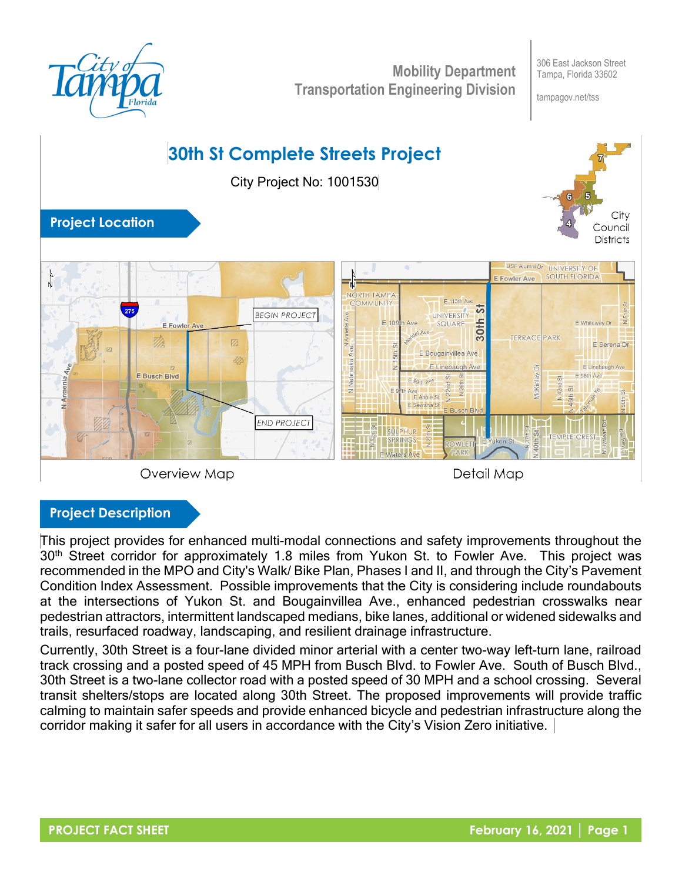

**Mobility Department Transportation Engineering Division**

306 East Jackson Street Tampa, Florida 33602

tampagov.net/tss

# **30th St Complete Streets Project** City Project No: 1001530



### **Project Location**



Overview Map

Detail Map

#### **Project Description**

This project provides for enhanced multi-modal connections and safety improvements throughout the 30<sup>th</sup> Street corridor for approximately 1.8 miles from Yukon St. to Fowler Ave. This project was recommended in the MPO and City's Walk/ Bike Plan, Phases I and II, and through the City's Pavement Condition Index Assessment. Possible improvements that the City is considering include roundabouts at the intersections of Yukon St. and Bougainvillea Ave., enhanced pedestrian crosswalks near pedestrian attractors, intermittent landscaped medians, bike lanes, additional or widened sidewalks and trails, resurfaced roadway, landscaping, and resilient drainage infrastructure.

Currently, 30th Street is a four‐lane divided minor arterial with a center two‐way left‐turn lane, railroad track crossing and a posted speed of 45 MPH from Busch Blvd. to Fowler Ave. South of Busch Blvd., 30th Street is a two-lane collector road with a posted speed of 30 MPH and a school crossing. Several transit shelters/stops are located along 30th Street. The proposed improvements will provide traffic calming to maintain safer speeds and provide enhanced bicycle and pedestrian infrastructure along the corridor making it safer for all users in accordance with the City's Vision Zero initiative.